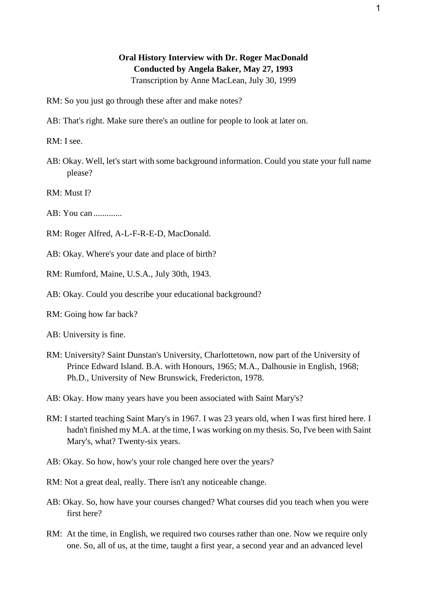## **Oral History Interview with Dr. Roger MacDonald Conducted by Angela Baker, May 27, 1993**

Transcription by Anne MacLean, July 30, 1999

- RM: So you just go through these after and make notes?
- AB: That's right. Make sure there's an outline for people to look at later on.

RM: I see.

- AB: Okay. Well, let's start with some background information. Could you state your full name please?
- RM: Must I?
- AB: You can .............
- RM: Roger Alfred, A-L-F-R-E-D, MacDonald.
- AB: Okay. Where's your date and place of birth?
- RM: Rumford, Maine, U.S.A., July 30th, 1943.
- AB: Okay. Could you describe your educational background?
- RM: Going how far back?
- AB: University is fine.
- RM: University? Saint Dunstan's University, Charlottetown, now part of the University of Prince Edward Island. B.A. with Honours, 1965; M.A., Dalhousie in English, 1968; Ph.D., University of New Brunswick, Fredericton, 1978.
- AB: Okay. How many years have you been associated with Saint Mary's?
- RM: I started teaching Saint Mary's in 1967. I was 23 years old, when I was first hired here. I hadn't finished my M.A. at the time, I was working on my thesis. So, I've been with Saint Mary's, what? Twenty-six years.
- AB: Okay. So how, how's your role changed here over the years?
- RM: Not a great deal, really. There isn't any noticeable change.
- AB: Okay. So, how have your courses changed? What courses did you teach when you were first here?
- RM: At the time, in English, we required two courses rather than one. Now we require only one. So, all of us, at the time, taught a first year, a second year and an advanced level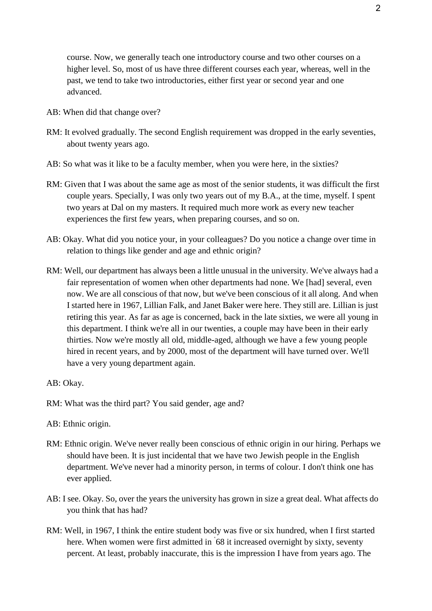course. Now, we generally teach one introductory course and two other courses on a higher level. So, most of us have three different courses each year, whereas, well in the past, we tend to take two introductories, either first year or second year and one advanced.

- AB: When did that change over?
- RM: It evolved gradually. The second English requirement was dropped in the early seventies, about twenty years ago.
- AB: So what was it like to be a faculty member, when you were here, in the sixties?
- RM: Given that I was about the same age as most of the senior students, it was difficult the first couple years. Specially, I was only two years out of my B.A., at the time, myself. I spent two years at Dal on my masters. It required much more work as every new teacher experiences the first few years, when preparing courses, and so on.
- AB: Okay. What did you notice your, in your colleagues? Do you notice a change over time in relation to things like gender and age and ethnic origin?
- RM: Well, our department has always been a little unusual in the university. We've always had a fair representation of women when other departments had none. We [had] several, even now. We are all conscious of that now, but we've been conscious of it all along. And when I started here in 1967, Lillian Falk, and Janet Baker were here. They still are. Lillian is just retiring this year. As far as age is concerned, back in the late sixties, we were all young in this department. I think we're all in our twenties, a couple may have been in their early thirties. Now we're mostly all old, middle-aged, although we have a few young people hired in recent years, and by 2000, most of the department will have turned over. We'll have a very young department again.

- RM: What was the third part? You said gender, age and?
- AB: Ethnic origin.
- RM: Ethnic origin. We've never really been conscious of ethnic origin in our hiring. Perhaps we should have been. It is just incidental that we have two Jewish people in the English department. We've never had a minority person, in terms of colour. I don't think one has ever applied.
- AB: I see. Okay. So, over the years the university has grown in size a great deal. What affects do you think that has had?
- RM: Well, in 1967, I think the entire student body was five or six hundred, when I first started here. When women were first admitted in 68 it increased overnight by sixty, seventy percent. At least, probably inaccurate, this is the impression I have from years ago. The

AB: Okay.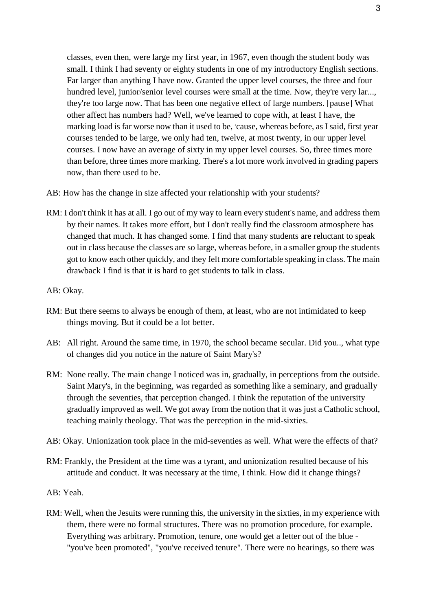classes, even then, were large my first year, in 1967, even though the student body was small. I think I had seventy or eighty students in one of my introductory English sections. Far larger than anything I have now. Granted the upper level courses, the three and four hundred level, junior/senior level courses were small at the time. Now, they're very lar..., they're too large now. That has been one negative effect of large numbers. [pause] What other affect has numbers had? Well, we've learned to cope with, at least I have, the marking load is far worse now than it used to be, 'cause, whereas before, as I said, first year courses tended to be large, we only had ten, twelve, at most twenty, in our upper level courses. I now have an average of sixty in my upper level courses. So, three times more than before, three times more marking. There's a lot more work involved in grading papers now, than there used to be.

- AB: How has the change in size affected your relationship with your students?
- RM: I don't think it has at all. I go out of my way to learn every student's name, and address them by their names. It takes more effort, but I don't really find the classroom atmosphere has changed that much. It has changed some. I find that many students are reluctant to speak out in class because the classes are so large, whereas before, in a smaller group the students got to know each other quickly, and they felt more comfortable speaking in class. The main drawback I find is that it is hard to get students to talk in class.

## AB: Okay.

- RM: But there seems to always be enough of them, at least, who are not intimidated to keep things moving. But it could be a lot better.
- AB: All right. Around the same time, in 1970, the school became secular. Did you.., what type of changes did you notice in the nature of Saint Mary's?
- RM: None really. The main change I noticed was in, gradually, in perceptions from the outside. Saint Mary's, in the beginning, was regarded as something like a seminary, and gradually through the seventies, that perception changed. I think the reputation of the university gradually improved as well. We got away from the notion that it was just a Catholic school, teaching mainly theology. That was the perception in the mid-sixties.
- AB: Okay. Unionization took place in the mid-seventies as well. What were the effects of that?
- RM: Frankly, the President at the time was a tyrant, and unionization resulted because of his attitude and conduct. It was necessary at the time, I think. How did it change things?
- AB: Yeah.
- RM: Well, when the Jesuits were running this, the university in the sixties, in my experience with them, there were no formal structures. There was no promotion procedure, for example. Everything was arbitrary. Promotion, tenure, one would get a letter out of the blue - "you've been promoted", "you've received tenure". There were no hearings, so there was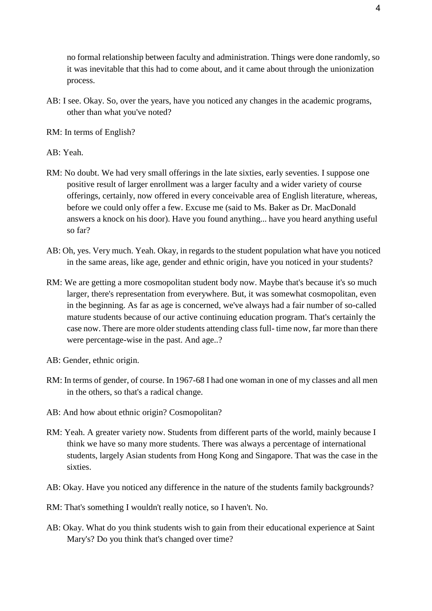no formal relationship between faculty and administration. Things were done randomly, so it was inevitable that this had to come about, and it came about through the unionization process.

AB: I see. Okay. So, over the years, have you noticed any changes in the academic programs, other than what you've noted?

RM: In terms of English?

AB: Yeah.

- RM: No doubt. We had very small offerings in the late sixties, early seventies. I suppose one positive result of larger enrollment was a larger faculty and a wider variety of course offerings, certainly, now offered in every conceivable area of English literature, whereas, before we could only offer a few. Excuse me (said to Ms. Baker as Dr. MacDonald answers a knock on his door). Have you found anything... have you heard anything useful so far?
- AB: Oh, yes. Very much. Yeah. Okay, in regards to the student population what have you noticed in the same areas, like age, gender and ethnic origin, have you noticed in your students?
- RM: We are getting a more cosmopolitan student body now. Maybe that's because it's so much larger, there's representation from everywhere. But, it was somewhat cosmopolitan, even in the beginning. As far as age is concerned, we've always had a fair number of so-called mature students because of our active continuing education program. That's certainly the case now. There are more older students attending class full- time now, far more than there were percentage-wise in the past. And age..?
- AB: Gender, ethnic origin.
- RM: In terms of gender, of course. In 1967-68 I had one woman in one of my classes and all men in the others, so that's a radical change.
- AB: And how about ethnic origin? Cosmopolitan?
- RM: Yeah. A greater variety now. Students from different parts of the world, mainly because I think we have so many more students. There was always a percentage of international students, largely Asian students from Hong Kong and Singapore. That was the case in the sixties.
- AB: Okay. Have you noticed any difference in the nature of the students family backgrounds?
- RM: That's something I wouldn't really notice, so I haven't. No.
- AB: Okay. What do you think students wish to gain from their educational experience at Saint Mary's? Do you think that's changed over time?